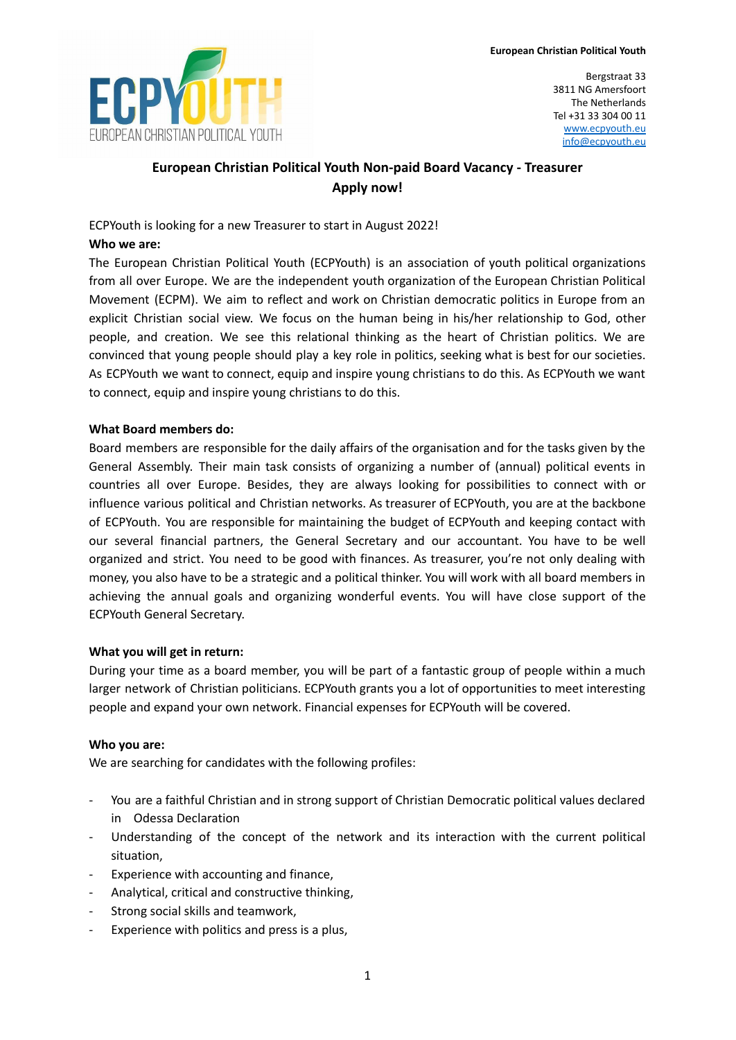

Bergstraat 33 3811 NG Amersfoort The Netherlands Tel +31 33 304 00 11 [www.ecpyouth.eu](http://www.ecpyouth.eu) [info@ecpyouth.eu](mailto:info@ecpyouth.eu)

# **European Christian Political Youth Non-paid Board Vacancy - Treasurer Apply now!**

ECPYouth is looking for a new Treasurer to start in August 2022!

## **Who we are:**

The European Christian Political Youth (ECPYouth) is an association of youth political organizations from all over Europe. We are the independent youth organization of the European Christian Political Movement (ECPM). We aim to reflect and work on Christian democratic politics in Europe from an explicit Christian social view. We focus on the human being in his/her relationship to God, other people, and creation. We see this relational thinking as the heart of Christian politics. We are convinced that young people should play a key role in politics, seeking what is best for our societies. As ECPYouth we want to connect, equip and inspire young christians to do this. As ECPYouth we want to connect, equip and inspire young christians to do this.

## **What Board members do:**

Board members are responsible for the daily affairs of the organisation and for the tasks given by the General Assembly. Their main task consists of organizing a number of (annual) political events in countries all over Europe. Besides, they are always looking for possibilities to connect with or influence various political and Christian networks. As treasurer of ECPYouth, you are at the backbone of ECPYouth. You are responsible for maintaining the budget of ECPYouth and keeping contact with our several financial partners, the General Secretary and our accountant. You have to be well organized and strict. You need to be good with finances. As treasurer, you're not only dealing with money, you also have to be a strategic and a political thinker. You will work with all board members in achieving the annual goals and organizing wonderful events. You will have close support of the ECPYouth General Secretary.

## **What you will get in return:**

During your time as a board member, you will be part of a fantastic group of people within a much larger network of Christian politicians. ECPYouth grants you a lot of opportunities to meet interesting people and expand your own network. Financial expenses for ECPYouth will be covered.

#### **Who you are:**

We are searching for candidates with the following profiles:

- You are a faithful Christian and in strong support of Christian Democratic political values declared in Odessa Declaration
- Understanding of the concept of the network and its interaction with the current political situation,
- Experience with accounting and finance,
- Analytical, critical and constructive thinking,
- Strong social skills and teamwork,
- Experience with politics and press is a plus,